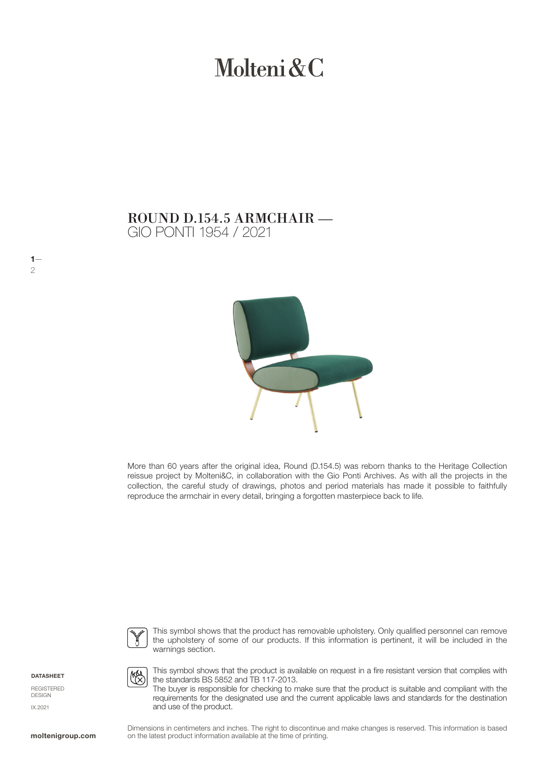# Molteni & C

## GIO PONTI 1954 / 2021 ROUND D.154.5 ARMCHAIR —



More than 60 years after the original idea, Round (D.154.5) was reborn thanks to the Heritage Collection reissue project by Molteni&C, in collaboration with the Gio Ponti Archives. As with all the projects in the collection, the careful study of drawings, photos and period materials has made it possible to faithfully reproduce the armchair in every detail, bringing a forgotten masterpiece back to life.



This symbol shows that the product has removable upholstery. Only qualified personnel can remove the upholstery of some of our products. If this information is pertinent, it will be included in the warnings section.

DATASHEET

 $1-$ 2

REGISTERED **DESIGN** IX.2021



This symbol shows that the product is available on request in a fire resistant version that complies with the standards BS 5852 and TB 117-2013.

The buyer is responsible for checking to make sure that the product is suitable and compliant with the requirements for the designated use and the current applicable laws and standards for the destination and use of the product.

Dimensions in centimeters and inches. The right to discontinue and make changes is reserved. This information is based on the latest product information available at the time of printing.